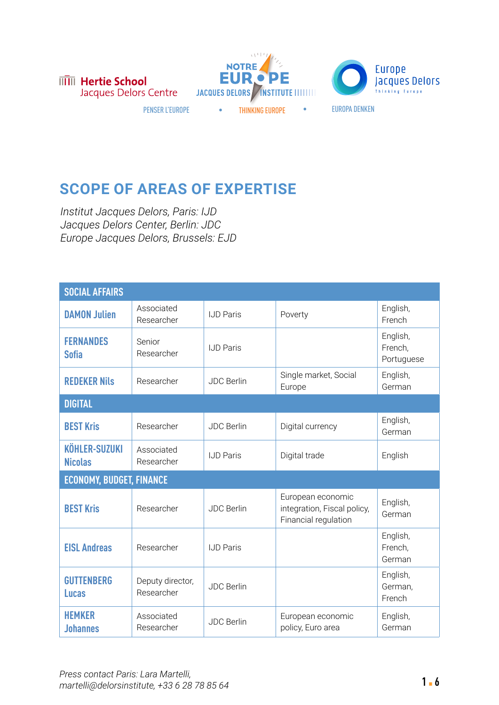





## **SCOPE OF AREAS OF EXPERTISE**

*Institut Jacques Delors, Paris: IJD Jacques Delors Center, Berlin: JDC Europe Jacques Delors, Brussels: EJD*

| <b>SOCIAL AFFAIRS</b>                  |                                |                   |                                                                          |                                   |  |
|----------------------------------------|--------------------------------|-------------------|--------------------------------------------------------------------------|-----------------------------------|--|
| <b>DAMON Julien</b>                    | Associated<br>Researcher       | <b>IJD Paris</b>  | Poverty                                                                  | English,<br>French                |  |
| <b>FERNANDES</b><br><b>Sofia</b>       | Senior<br>Researcher           | <b>IJD Paris</b>  |                                                                          | English,<br>French,<br>Portuguese |  |
| <b>REDEKER Nils</b>                    | Researcher                     | <b>JDC Berlin</b> | Single market, Social<br>Europe                                          | English,<br>German                |  |
| <b>DIGITAL</b>                         |                                |                   |                                                                          |                                   |  |
| <b>BEST Kris</b>                       | Researcher                     | <b>JDC Berlin</b> | Digital currency                                                         | English,<br>German                |  |
| <b>KÖHLER-SUZUKI</b><br><b>Nicolas</b> | Associated<br>Researcher       | IJD Paris         | Digital trade                                                            | English                           |  |
| <b>ECONOMY, BUDGET, FINANCE</b>        |                                |                   |                                                                          |                                   |  |
| <b>BEST Kris</b>                       | Researcher                     | <b>JDC</b> Berlin | European economic<br>integration, Fiscal policy,<br>Financial regulation | English,<br>German                |  |
| <b>EISL Andreas</b>                    | Researcher                     | <b>IJD Paris</b>  |                                                                          | English,<br>French,<br>German     |  |
| <b>GUTTENBERG</b><br><b>Lucas</b>      | Deputy director,<br>Researcher | <b>JDC Berlin</b> |                                                                          | English,<br>German,<br>French     |  |
| <b>HEMKER</b><br><b>Johannes</b>       | Associated<br>Researcher       | <b>JDC Berlin</b> | European economic<br>policy, Euro area                                   | English,<br>German                |  |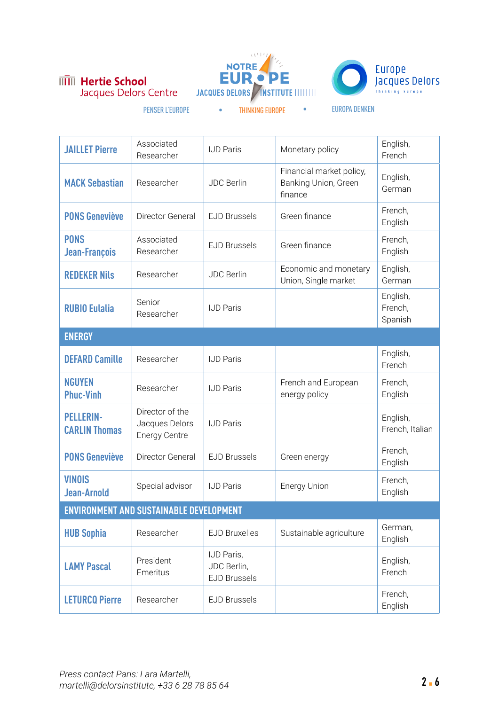





- 
- 

| <b>JAILLET Pierre</b>                    | Associated<br>Researcher                                  | <b>IJD Paris</b>                                 | Monetary policy                                             | English,<br>French             |  |
|------------------------------------------|-----------------------------------------------------------|--------------------------------------------------|-------------------------------------------------------------|--------------------------------|--|
| <b>MACK Sebastian</b>                    | Researcher                                                | <b>JDC Berlin</b>                                | Financial market policy,<br>Banking Union, Green<br>finance | English,<br>German             |  |
| <b>PONS Geneviève</b>                    | Director General                                          | <b>EJD Brussels</b>                              | Green finance                                               | French,<br>English             |  |
| <b>PONS</b><br>Jean-François             | Associated<br>Researcher                                  | <b>EJD Brussels</b>                              | Green finance                                               | French,<br>English             |  |
| <b>REDEKER Nils</b>                      | Researcher                                                | <b>JDC Berlin</b>                                | Economic and monetary<br>Union, Single market               | English,<br>German             |  |
| <b>RUBIO Eulalia</b>                     | Senior<br>Researcher                                      | <b>IJD Paris</b>                                 |                                                             | English,<br>French,<br>Spanish |  |
| <b>ENERGY</b>                            |                                                           |                                                  |                                                             |                                |  |
| <b>DEFARD Camille</b>                    | Researcher                                                | <b>IJD Paris</b>                                 |                                                             | English,<br>French             |  |
| <b>NGUYEN</b><br><b>Phuc-Vinh</b>        | Researcher                                                | <b>IJD Paris</b>                                 | French and European<br>energy policy                        | French,<br>English             |  |
| <b>PELLERIN-</b><br><b>CARLIN Thomas</b> | Director of the<br>Jacques Delors<br><b>Energy Centre</b> | <b>IJD Paris</b>                                 |                                                             | English,<br>French, Italian    |  |
| <b>PONS Geneviève</b>                    | Director General                                          | <b>EJD Brussels</b>                              | Green energy                                                | French,<br>English             |  |
| <b>VINOIS</b><br><b>Jean-Arnold</b>      | Special advisor                                           | <b>IJD Paris</b>                                 | <b>Energy Union</b>                                         | French,<br>English             |  |
| ENVIRONMENT AND SUSTAINABLE DEVELOPMENT  |                                                           |                                                  |                                                             |                                |  |
| <b>HUB Sophia</b>                        | Researcher                                                | <b>EJD Bruxelles</b>                             | Sustainable agriculture                                     | German,<br>English             |  |
| <b>LAMY Pascal</b>                       | President<br>Emeritus                                     | IJD Paris,<br>JDC Berlin,<br><b>EJD Brussels</b> |                                                             | English,<br>French             |  |
| <b>LETURCQ Pierre</b>                    | Researcher                                                | <b>EJD Brussels</b>                              |                                                             | French,<br>English             |  |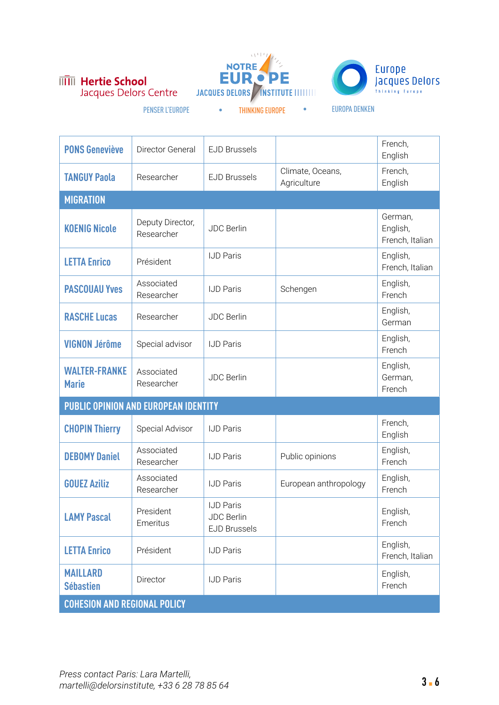**IIII** Hertie School Jacques Delors Centre





| <b>PONS Geneviève</b>                | Director General                     | <b>EJD Brussels</b>                                          |                                 | French,<br>English                     |
|--------------------------------------|--------------------------------------|--------------------------------------------------------------|---------------------------------|----------------------------------------|
| <b>TANGUY Paola</b>                  | Researcher                           | <b>EJD Brussels</b>                                          | Climate, Oceans,<br>Agriculture | French,<br>English                     |
| <b>MIGRATION</b>                     |                                      |                                                              |                                 |                                        |
| <b>KOENIG Nicole</b>                 | Deputy Director,<br>Researcher       | <b>JDC Berlin</b>                                            |                                 | German,<br>English,<br>French, Italian |
| <b>LETTA Enrico</b>                  | Président                            | <b>IJD Paris</b>                                             |                                 | English,<br>French, Italian            |
| <b>PASCOUAU Yves</b>                 | Associated<br>Researcher             | <b>IJD Paris</b>                                             | Schengen                        | English,<br>French                     |
| <b>RASCHE Lucas</b>                  | Researcher                           | <b>JDC Berlin</b>                                            |                                 | English,<br>German                     |
| <b>VIGNON Jérôme</b>                 | Special advisor                      | <b>IJD Paris</b>                                             |                                 | English,<br>French                     |
| <b>WALTER-FRANKE</b><br><b>Marie</b> | Associated<br>Researcher             | <b>JDC Berlin</b>                                            |                                 | English,<br>German,<br>French          |
|                                      | PUBLIC OPINION AND EUROPEAN IDENTITY |                                                              |                                 |                                        |
| <b>CHOPIN Thierry</b>                | Special Advisor                      | <b>IJD Paris</b>                                             |                                 | French,<br>English                     |
| <b>DEBOMY Daniel</b>                 | Associated<br>Researcher             | <b>IJD Paris</b>                                             | Public opinions                 | English,<br>French                     |
| <b>GOUEZ Aziliz</b>                  | Associated<br>Researcher             | <b>IJD Paris</b>                                             | European anthropology           | English,<br>French                     |
| <b>LAMY Pascal</b>                   | President<br>Emeritus                | <b>IJD Paris</b><br><b>JDC Berlin</b><br><b>EJD Brussels</b> |                                 | English,<br>French                     |
| <b>LETTA Enrico</b>                  | Président                            | <b>IJD Paris</b>                                             |                                 | English,<br>French, Italian            |
| <b>MAILLARD</b><br><b>Sébastien</b>  | Director                             | <b>IJD Paris</b>                                             |                                 | English,<br>French                     |
| <b>COHESION AND REGIONAL POLICY</b>  |                                      |                                                              |                                 |                                        |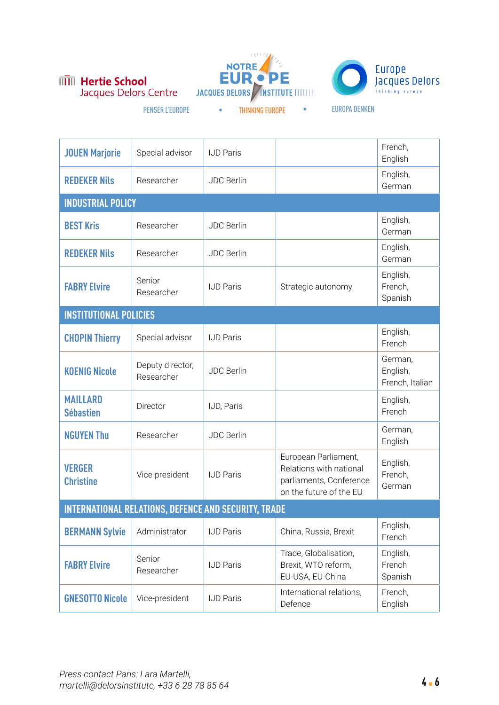





| <b>JOUEN Marjorie</b>                                       | Special advisor                | <b>IJD Paris</b>  |                                                                                                       | French,<br>English                     |  |
|-------------------------------------------------------------|--------------------------------|-------------------|-------------------------------------------------------------------------------------------------------|----------------------------------------|--|
| <b>REDEKER Nils</b>                                         | Researcher                     | <b>JDC Berlin</b> |                                                                                                       | English,<br>German                     |  |
| <b>INDUSTRIAL POLICY</b>                                    |                                |                   |                                                                                                       |                                        |  |
| <b>BEST Kris</b>                                            | Researcher                     | <b>JDC Berlin</b> |                                                                                                       | English,<br>German                     |  |
| <b>REDEKER Nils</b>                                         | Researcher                     | <b>JDC Berlin</b> |                                                                                                       | English,<br>German                     |  |
| <b>FABRY Elvire</b>                                         | Senior<br>Researcher           | <b>IJD Paris</b>  | Strategic autonomy                                                                                    | English,<br>French,<br>Spanish         |  |
| <b>INSTITUTIONAL POLICIES</b>                               |                                |                   |                                                                                                       |                                        |  |
| <b>CHOPIN Thierry</b>                                       | Special advisor                | <b>IJD Paris</b>  |                                                                                                       | English,<br>French                     |  |
| <b>KOENIG Nicole</b>                                        | Deputy director,<br>Researcher | <b>JDC Berlin</b> |                                                                                                       | German,<br>English,<br>French, Italian |  |
| <b>MAILLARD</b><br><b>Sébastien</b>                         | Director                       | IJD, Paris        |                                                                                                       | English,<br>French                     |  |
| <b>NGUYEN Thu</b>                                           | Researcher                     | <b>JDC Berlin</b> |                                                                                                       | German,<br>English                     |  |
| <b>VERGER</b><br><b>Christine</b>                           | Vice-president                 | <b>IJD Paris</b>  | European Parliament,<br>Relations with national<br>parliaments, Conference<br>on the future of the EU | English,<br>French,<br>German          |  |
| <b>INTERNATIONAL RELATIONS, DEFENCE AND SECURITY, TRADE</b> |                                |                   |                                                                                                       |                                        |  |
| <b>BERMANN Sylvie</b>                                       | Administrator                  | <b>IJD Paris</b>  | China, Russia, Brexit                                                                                 | English,<br>French                     |  |
| <b>FABRY Elvire</b>                                         | Senior<br>Researcher           | <b>IJD Paris</b>  | Trade, Globalisation,<br>Brexit, WTO reform,<br>EU-USA, EU-China                                      | English,<br>French<br>Spanish          |  |
| <b>GNESOTTO Nicole</b>                                      | Vice-president                 | <b>IJD Paris</b>  | International relations,<br>Defence                                                                   | French,<br>English                     |  |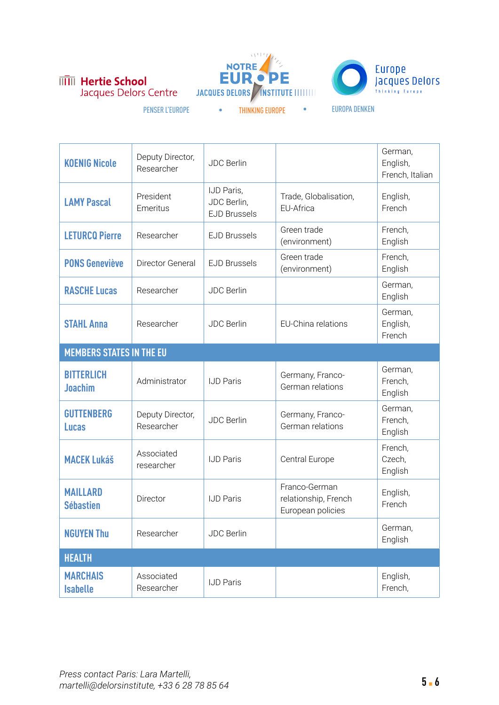





| <b>KOENIG Nicole</b>                | Deputy Director,<br>Researcher | <b>JDC Berlin</b>                                |                                                            | German,<br>English,<br>French, Italian |
|-------------------------------------|--------------------------------|--------------------------------------------------|------------------------------------------------------------|----------------------------------------|
| <b>LAMY Pascal</b>                  | President<br>Emeritus          | IJD Paris,<br>JDC Berlin,<br><b>EJD Brussels</b> | Trade, Globalisation,<br>EU-Africa                         | English,<br>French                     |
| <b>LETURCQ Pierre</b>               | Researcher                     | <b>EJD Brussels</b>                              | Green trade<br>(environment)                               | French,<br>English                     |
| <b>PONS Geneviève</b>               | Director General               | <b>EJD Brussels</b>                              | Green trade<br>(environment)                               | French,<br>English                     |
| <b>RASCHE Lucas</b>                 | Researcher                     | <b>JDC Berlin</b>                                |                                                            | German,<br>English                     |
| <b>STAHL Anna</b>                   | Researcher                     | <b>JDC Berlin</b>                                | EU-China relations                                         | German,<br>English,<br>French          |
| <b>MEMBERS STATES IN THE EU</b>     |                                |                                                  |                                                            |                                        |
| <b>BITTERLICH</b><br><b>Joachim</b> | Administrator                  | <b>IJD Paris</b>                                 | Germany, Franco-<br>German relations                       | German,<br>French,<br>English          |
| <b>GUTTENBERG</b><br><b>Lucas</b>   | Deputy Director,<br>Researcher | <b>JDC Berlin</b>                                | Germany, Franco-<br>German relations                       | German,<br>French,<br>English          |
| <b>MACEK Lukáš</b>                  | Associated<br>researcher       | <b>IJD Paris</b>                                 | Central Europe                                             | French,<br>Czech,<br>English           |
| <b>MAILLARD</b><br><b>Sébastien</b> | Director                       | <b>IJD Paris</b>                                 | Franco-German<br>relationship, French<br>European policies | English,<br>French                     |
| <b>NGUYEN Thu</b>                   | Researcher                     | <b>JDC Berlin</b>                                |                                                            | German,<br>English                     |
| <b>HEALTH</b>                       |                                |                                                  |                                                            |                                        |
| <b>MARCHAIS</b><br><b>Isabelle</b>  | Associated<br>Researcher       | <b>IJD Paris</b>                                 |                                                            | English,<br>French,                    |